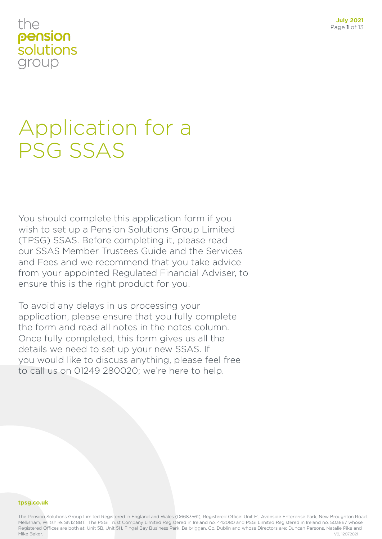# Application for a PSG SSAS

You should complete this application form if you wish to set up a Pension Solutions Group Limited (TPSG) SSAS. Before completing it, please read our SSAS Member Trustees Guide and the Services and Fees and we recommend that you take advice from your appointed Regulated Financial Adviser, to ensure this is the right product for you.

To avoid any delays in us processing your application, please ensure that you fully complete the form and read all notes in the notes column. Once fully completed, this form gives us all the details we need to set up your new SSAS. If you would like to discuss anything, please feel free to call us on 01249 280020; we're here to help.

#### **tpsg.co.uk**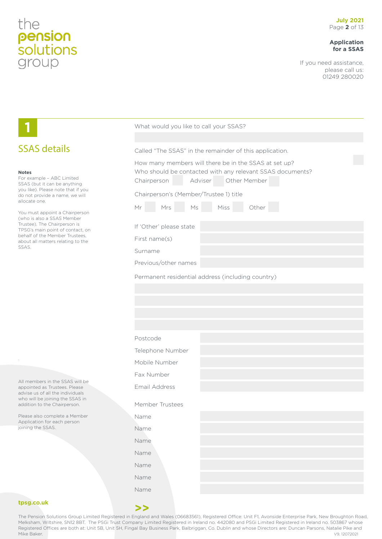#### **Application for a SSAS**

If you need assistance, please call us: 01249 280020

|                                                                                                                                                                                                                                                                                                                                                                                        | What would you like to call your SSAS?                                                                                                                                                                                                                                                                                                                                                                       |
|----------------------------------------------------------------------------------------------------------------------------------------------------------------------------------------------------------------------------------------------------------------------------------------------------------------------------------------------------------------------------------------|--------------------------------------------------------------------------------------------------------------------------------------------------------------------------------------------------------------------------------------------------------------------------------------------------------------------------------------------------------------------------------------------------------------|
|                                                                                                                                                                                                                                                                                                                                                                                        |                                                                                                                                                                                                                                                                                                                                                                                                              |
| <b>SSAS details</b>                                                                                                                                                                                                                                                                                                                                                                    | Called "The SSAS" in the remainder of this application.                                                                                                                                                                                                                                                                                                                                                      |
| <b>Notes</b><br>For example - ABC Limited<br>SSAS (but it can be anything<br>you like). Please note that if you<br>do not provide a name, we will<br>allocate one.<br>You must appoint a Chairperson<br>(who is also a SSAS Member<br>Trustee). The Chairperson is<br>TPSG's main point of contact, on<br>behalf of the Member Trustees,<br>about all matters relating to the<br>SSAS. | How many members will there be in the SSAS at set up?<br>Who should be contacted with any relevant SSAS documents?<br>Adviser<br>Other Member<br>Chairperson<br>Chairperson's (Member/Trustee 1) title<br>Miss<br>Mrs<br>$\ensuremath{\mathsf{M}}\xspace$<br>Other<br>Mr<br>If 'Other' please state<br>First name(s)<br>Surname<br>Previous/other names<br>Permanent residential address (including country) |
|                                                                                                                                                                                                                                                                                                                                                                                        |                                                                                                                                                                                                                                                                                                                                                                                                              |
|                                                                                                                                                                                                                                                                                                                                                                                        | Postcode                                                                                                                                                                                                                                                                                                                                                                                                     |
|                                                                                                                                                                                                                                                                                                                                                                                        | Telephone Number                                                                                                                                                                                                                                                                                                                                                                                             |
|                                                                                                                                                                                                                                                                                                                                                                                        | Mobile Number                                                                                                                                                                                                                                                                                                                                                                                                |
|                                                                                                                                                                                                                                                                                                                                                                                        | Fax Number                                                                                                                                                                                                                                                                                                                                                                                                   |
| All members in the SSAS will be<br>appointed as Trustees. Please<br>advise us of all the individuals                                                                                                                                                                                                                                                                                   | Email Address                                                                                                                                                                                                                                                                                                                                                                                                |
| who will be joining the SSAS in<br>addition to the Chairperson.                                                                                                                                                                                                                                                                                                                        | Member Trustees                                                                                                                                                                                                                                                                                                                                                                                              |
| Please also complete a Member                                                                                                                                                                                                                                                                                                                                                          | Name                                                                                                                                                                                                                                                                                                                                                                                                         |
| Application for each person<br>joining the SSAS.                                                                                                                                                                                                                                                                                                                                       | Name                                                                                                                                                                                                                                                                                                                                                                                                         |
|                                                                                                                                                                                                                                                                                                                                                                                        | Name                                                                                                                                                                                                                                                                                                                                                                                                         |
|                                                                                                                                                                                                                                                                                                                                                                                        | Name                                                                                                                                                                                                                                                                                                                                                                                                         |
|                                                                                                                                                                                                                                                                                                                                                                                        | Name                                                                                                                                                                                                                                                                                                                                                                                                         |
|                                                                                                                                                                                                                                                                                                                                                                                        | Name                                                                                                                                                                                                                                                                                                                                                                                                         |
|                                                                                                                                                                                                                                                                                                                                                                                        | Name                                                                                                                                                                                                                                                                                                                                                                                                         |
| tpsg.co.uk                                                                                                                                                                                                                                                                                                                                                                             | >                                                                                                                                                                                                                                                                                                                                                                                                            |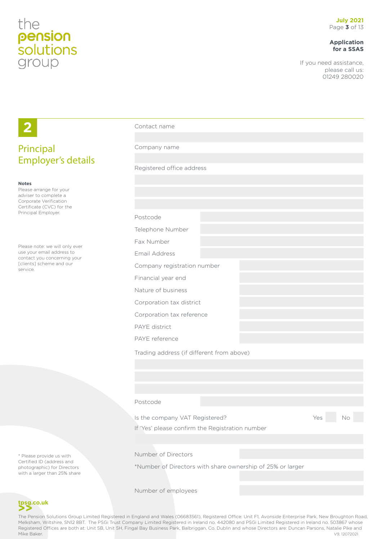**2**

#### **Application for a SSAS**

If you need assistance, please call us: 01249 280020

| Principal                                                                                                                                      | Company name                                                                                                                                              |           |
|------------------------------------------------------------------------------------------------------------------------------------------------|-----------------------------------------------------------------------------------------------------------------------------------------------------------|-----------|
| <b>Employer's details</b>                                                                                                                      |                                                                                                                                                           |           |
|                                                                                                                                                | Registered office address                                                                                                                                 |           |
| <b>Notes</b><br>Please arrange for your<br>adviser to complete a<br>Corporate Verification<br>Certificate (CVC) for the<br>Principal Employer. |                                                                                                                                                           |           |
|                                                                                                                                                | Postcode                                                                                                                                                  |           |
|                                                                                                                                                | Telephone Number                                                                                                                                          |           |
|                                                                                                                                                | Fax Number                                                                                                                                                |           |
| Please note: we will only ever<br>use your email address to                                                                                    | Email Address                                                                                                                                             |           |
| contact you concerning your<br>[clients] scheme and our<br>service.                                                                            | Company registration number                                                                                                                               |           |
|                                                                                                                                                | Financial year end                                                                                                                                        |           |
|                                                                                                                                                | Nature of business                                                                                                                                        |           |
|                                                                                                                                                | Corporation tax district                                                                                                                                  |           |
|                                                                                                                                                | Corporation tax reference                                                                                                                                 |           |
|                                                                                                                                                | <b>PAYE</b> district                                                                                                                                      |           |
|                                                                                                                                                | PAYE reference                                                                                                                                            |           |
|                                                                                                                                                | Trading address (if different from above)                                                                                                                 |           |
|                                                                                                                                                |                                                                                                                                                           |           |
|                                                                                                                                                |                                                                                                                                                           |           |
|                                                                                                                                                |                                                                                                                                                           |           |
|                                                                                                                                                | Postcode                                                                                                                                                  |           |
|                                                                                                                                                | Is the company VAT Registered?                                                                                                                            | No<br>Yes |
|                                                                                                                                                | If 'Yes' please confirm the Registration number                                                                                                           |           |
|                                                                                                                                                |                                                                                                                                                           |           |
| * Please provide us with<br>Certified ID (address and<br>photographic) for Directors<br>with a larger than 25% share                           | Number of Directors                                                                                                                                       |           |
|                                                                                                                                                | *Number of Directors with share ownership of 25% or larger                                                                                                |           |
|                                                                                                                                                | Number of employees                                                                                                                                       |           |
| tpsg.co.uk                                                                                                                                     |                                                                                                                                                           |           |
|                                                                                                                                                | The Pension Solutions Group Limited Registered in England and Wales (06683561), Registered Office: Unit F1, Avonside Enterprise Park, New Broughton Road, |           |

Contact name

Melksham, Wiltshire, SN12 8BT. The PSGi Trust Company Limited Registered in Ireland no. 442080 and PSGi Limited Registered in Ireland no. 503867 whose Registered Offices are both at: Unit 5B, Unit 5H, Fingal Bay Business Park, Balbriggan, Co. Dublin and whose Directors are: Duncan Parsons, Natalie Pike and<br>19, 12072021 Mike Baker. V9, 12072021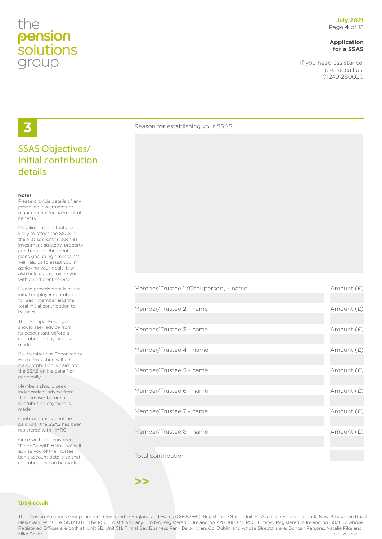#### **Application for a SSAS**

If you need assistance, please call us: 01249 280020

## **3**

#### SSAS Objectives/ Initial contribution details

#### **Notes**

Please provide details of any proposed investments or requirements for payment of benefits.

Detailing factors that are likely to affect the SSAS in the first 12 months, such as investment strategy, property purchase or retirement plans (including timescales) will help us to assist you in achieving your goals. It will also help us to provide you with an efficient service.

Please provide details of the initial employer contribution for each member and the total initial contribution to be paid.

The Principal Employer should seek advice from its accountant before a contribution payment is made.

If a Member has Enhanced or Fixed Protection will be lost if a contribution is paid into the SSAS on his behalf or personally.

Members should seek independent advice from their adviser before a contribution payment is made.

Contributions cannot be paid until the SSAS has been registered with HMRC.

Once we have registered the SSAS with HMRC we will advise you of the Trustee bank account details so that contributions can be made.

#### **tpsg.co.uk**

The Pension Solutions Group Limited Registered in England and Wales (06683561), Registered Office: Unit F1, Avonside Enterprise Park, New Broughton Road, Melksham, Wiltshire, SN12 8BT. The PSGi Trust Company Limited Registered in Ireland no. 442080 and PSGi Limited Registered in Ireland no. 503867 whose Registered Offices are both at: Unit 5B, Unit 5H, Fingal Bay Business Park, Balbriggan, Co. Dublin and whose Directors are: Duncan Parsons, Natalie Pike and Mike Baker. V9, 12072021

Reason for establishing your SSAS

| Premper/Trustee T (Chairperson) - name | AITIOUITU (E) |
|----------------------------------------|---------------|
|                                        |               |
| Member/Trustee 2 - name                | Amount (£)    |
|                                        |               |
| Member/Trustee 3 - name                | Amount (£)    |
|                                        |               |
| Member/Trustee 4 - name                | Amount (£)    |
|                                        |               |
| Member/Trustee 5 - name                | Amount (£)    |
|                                        |               |
| Member/Trustee 6 - name                | Amount (£)    |
|                                        |               |
| Member/Trustee 7 - name                | Amount (£)    |
|                                        |               |
| Member/Trustee 8 - name                | Amount (£)    |
|                                        |               |
|                                        |               |

 $M_{\rm F}$  (Trustee 1/Chairpers) - name Amount ( $\hat{C}$ )

Total contribution

**>>**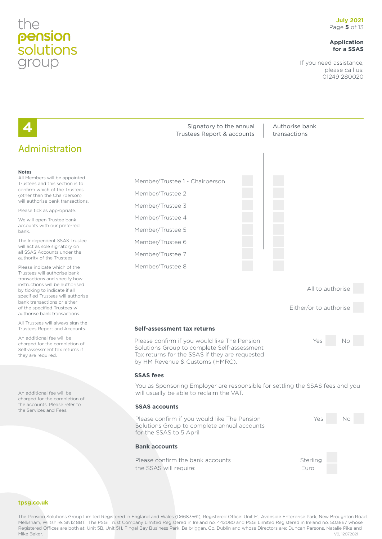#### **Application for a SSAS**

If you need assistance, please call us: 01249 280020



Melksham, Wiltshire, SN12 8BT. The PSGi Trust Company Limited Registered in Ireland no. 442080 and PSGi Limited Registered in Ireland no. 503867 whose Registered Offices are both at: Unit 5B, Unit 5H, Fingal Bay Business Park, Balbriggan, Co. Dublin and whose Directors are: Duncan Parsons, Natalie Pike and Mike Baker. V9, 12072021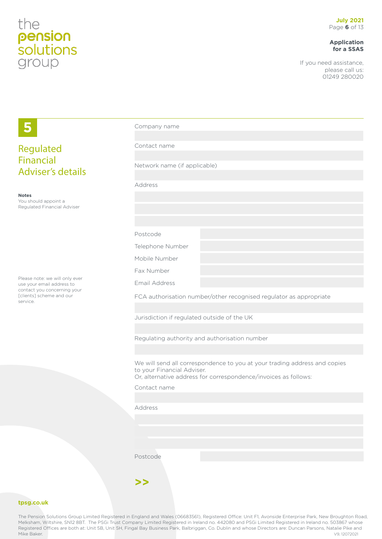#### **Application for a SSAS**

If you need assistance, please call us: 01249 280020

| 5                                                                                          | Company name                                                                                                                                                               |
|--------------------------------------------------------------------------------------------|----------------------------------------------------------------------------------------------------------------------------------------------------------------------------|
| Regulated<br><b>Financial</b>                                                              | Contact name                                                                                                                                                               |
| <b>Adviser's details</b>                                                                   | Network name (if applicable)                                                                                                                                               |
| <b>Notes</b>                                                                               | Address                                                                                                                                                                    |
| You should appoint a<br>Regulated Financial Adviser                                        |                                                                                                                                                                            |
|                                                                                            | Postcode                                                                                                                                                                   |
|                                                                                            | Telephone Number<br>Mobile Number                                                                                                                                          |
|                                                                                            | Fax Number                                                                                                                                                                 |
| Please note: we will only ever<br>use your email address to<br>contact you concerning your | Email Address                                                                                                                                                              |
| [clients] scheme and our<br>service.                                                       | FCA authorisation number/other recognised regulator as appropriate                                                                                                         |
|                                                                                            | Jurisdiction if regulated outside of the UK                                                                                                                                |
|                                                                                            | Regulating authority and authorisation number                                                                                                                              |
|                                                                                            | We will send all correspondence to you at your trading address and copies<br>to your Financial Adviser.<br>Or, alternative address for correspondence/invoices as follows: |
|                                                                                            | Contact name                                                                                                                                                               |
|                                                                                            | Address                                                                                                                                                                    |
|                                                                                            |                                                                                                                                                                            |
|                                                                                            |                                                                                                                                                                            |
|                                                                                            | Postcode                                                                                                                                                                   |
|                                                                                            | >>                                                                                                                                                                         |

#### **tpsg.co.uk**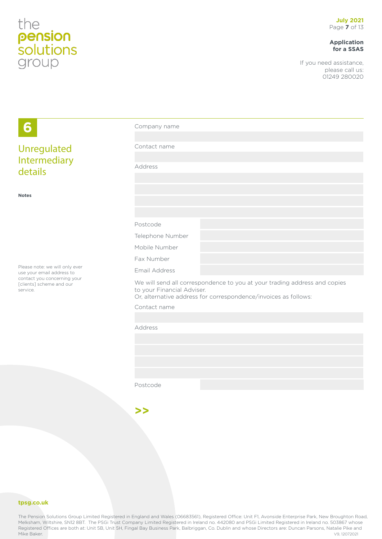#### **Application for a SSAS**

If you need assistance, please call us: 01249 280020

| 6                                                                   | Company name               |                                                                                                                                              |
|---------------------------------------------------------------------|----------------------------|----------------------------------------------------------------------------------------------------------------------------------------------|
|                                                                     |                            |                                                                                                                                              |
| Unregulated                                                         | Contact name               |                                                                                                                                              |
| Intermediary                                                        |                            |                                                                                                                                              |
| details                                                             | Address                    |                                                                                                                                              |
|                                                                     |                            |                                                                                                                                              |
| <b>Notes</b>                                                        |                            |                                                                                                                                              |
|                                                                     |                            |                                                                                                                                              |
|                                                                     |                            |                                                                                                                                              |
|                                                                     | Postcode                   |                                                                                                                                              |
|                                                                     | Telephone Number           |                                                                                                                                              |
|                                                                     | Mobile Number              |                                                                                                                                              |
|                                                                     | Fax Number                 |                                                                                                                                              |
| Please note: we will only ever<br>use your email address to         | Email Address              |                                                                                                                                              |
| contact you concerning your<br>[clients] scheme and our<br>service. | to your Financial Adviser. | We will send all correspondence to you at your trading address and copies<br>Or, alternative address for correspondence/invoices as follows: |
|                                                                     | Contact name               |                                                                                                                                              |
|                                                                     |                            |                                                                                                                                              |
|                                                                     | Address                    |                                                                                                                                              |
|                                                                     |                            |                                                                                                                                              |
|                                                                     |                            |                                                                                                                                              |
|                                                                     |                            |                                                                                                                                              |
|                                                                     |                            |                                                                                                                                              |
|                                                                     | Postcode                   |                                                                                                                                              |
|                                                                     |                            |                                                                                                                                              |

**tpsg.co.uk**

The Pension Solutions Group Limited Registered in England and Wales (06683561), Registered Office: Unit F1, Avonside Enterprise Park, New Broughton Road, Melksham, Wiltshire, SN12 8BT. The PSGi Trust Company Limited Registered in Ireland no. 442080 and PSGi Limited Registered in Ireland no. 503867 whose Registered Offices are both at: Unit 5B, Unit 5H, Fingal Bay Business Park, Balbriggan, Co. Dublin and whose Directors are: Duncan Parsons, Natalie Pike and<br>19, 12072021 Mike Baker. V9, 12072021

**>>**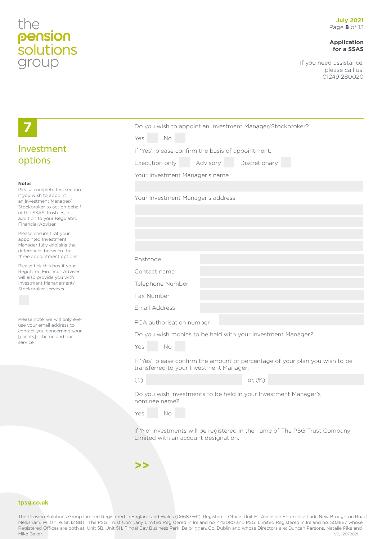#### **Application for a SSAS**

If you need assistance, please call us: 01249 280020

|                                                                                                                                                                                                                  |                                                             |          | Do you wish to appoint an Investment Manager/Stockbroker?                     |
|------------------------------------------------------------------------------------------------------------------------------------------------------------------------------------------------------------------|-------------------------------------------------------------|----------|-------------------------------------------------------------------------------|
|                                                                                                                                                                                                                  | Yes<br>No                                                   |          |                                                                               |
| Investment                                                                                                                                                                                                       | If 'Yes', please confirm the basis of appointment:          |          |                                                                               |
| options                                                                                                                                                                                                          | Execution only                                              | Advisory | Discretionary                                                                 |
|                                                                                                                                                                                                                  | Your Investment Manager's name                              |          |                                                                               |
| <b>Notes</b><br>Please complete this section<br>if you wish to appoint<br>an Investment Manager/<br>Stockbroker to act on behalf<br>of the SSAS Trustees, in<br>addition to your Regulated<br>Financial Adviser. | Your Investment Manager's address                           |          |                                                                               |
| Please ensure that your<br>appointed Investment<br>Manager fully explains the<br>differences between the                                                                                                         |                                                             |          |                                                                               |
| three appointment options.<br>Please tick this box if your                                                                                                                                                       | Postcode                                                    |          |                                                                               |
| Regulated Financial Adviser<br>will also provide you with                                                                                                                                                        | Contact name                                                |          |                                                                               |
| Investment Management/<br>Stockbroker services.                                                                                                                                                                  | Telephone Number                                            |          |                                                                               |
|                                                                                                                                                                                                                  | Fax Number                                                  |          |                                                                               |
|                                                                                                                                                                                                                  | Email Address                                               |          |                                                                               |
| Please note: we will only ever<br>use your email address to                                                                                                                                                      | FCA authorisation number                                    |          |                                                                               |
| contact you concerning your<br>[clients] scheme and our                                                                                                                                                          | Do you wish monies to be held with your Investment Manager? |          |                                                                               |
| service.                                                                                                                                                                                                         | Yes<br>No                                                   |          |                                                                               |
|                                                                                                                                                                                                                  | transferred to your Investment Manager:                     |          | If 'Yes', please confirm the amount or percentage of your plan you wish to be |
|                                                                                                                                                                                                                  | (E)                                                         |          | or, (%)                                                                       |
|                                                                                                                                                                                                                  | nominee name?                                               |          | Do you wish investments to be held in your Investment Manager's               |
|                                                                                                                                                                                                                  | Yes<br>No                                                   |          |                                                                               |
|                                                                                                                                                                                                                  | Limited with an account designation.                        |          | if 'No' investments will be registered in the name of The PSG Trust Company   |
|                                                                                                                                                                                                                  | >>                                                          |          |                                                                               |

#### **tpsg.co.uk**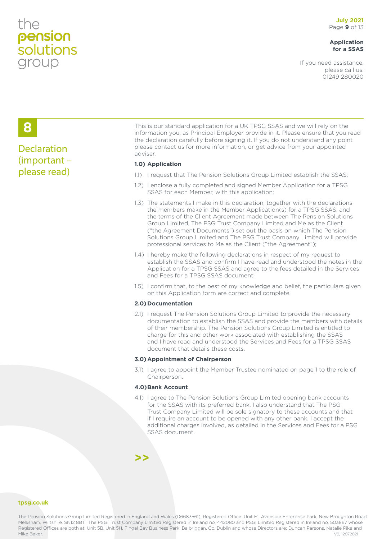#### **Application for a SSAS**

If you need assistance, please call us: 01249 280020

### **8**

#### **Declaration** (important – please read)

This is our standard application for a UK TPSG SSAS and we will rely on the information you, as Principal Employer provide in it. Please ensure that you read the declaration carefully before signing it. If you do not understand any point please contact us for more information, or get advice from your appointed adviser.

#### **1.0) Application**

- 1.1) I request that The Pension Solutions Group Limited establish the SSAS;
- 1.2) I enclose a fully completed and signed Member Application for a TPSG SSAS for each Member, with this application;
- 1.3) The statements I make in this declaration, together with the declarations the members make in the Member Application(s) for a TPSG SSAS, and the terms of the Client Agreement made between The Pension Solutions Group Limited, The PSG Trust Company Limited and Me as the Client ("the Agreement Documents") set out the basis on which The Pension Solutions Group Limited and The PSG Trust Company Limited will provide professional services to Me as the Client ("the Agreement");
- 1.4) I hereby make the following declarations in respect of my request to establish the SSAS and confirm I have read and understood the notes in the Application for a TPSG SSAS and agree to the fees detailed in the Services and Fees for a TPSG SSAS document;
- 1.5) I confirm that, to the best of my knowledge and belief, the particulars given on this Application form are correct and complete.

#### **2.0)Documentation**

2.1) I request The Pension Solutions Group Limited to provide the necessary documentation to establish the SSAS and provide the members with details of their membership. The Pension Solutions Group Limited is entitled to charge for this and other work associated with establishing the SSAS and I have read and understood the Services and Fees for a TPSG SSAS document that details these costs.

#### **3.0)Appointment of Chairperson**

3.1) I agree to appoint the Member Trustee nominated on page 1 to the role of Chairperson.

#### **4.0)Bank Account**

**>>**

4.1) I agree to The Pension Solutions Group Limited opening bank accounts for the SSAS with its preferred bank. I also understand that The PSG Trust Company Limited will be sole signatory to these accounts and that if I require an account to be opened with any other bank, I accept the additional charges involved, as detailed in the Services and Fees for a PSG SSAS document.

**tpsg.co.uk**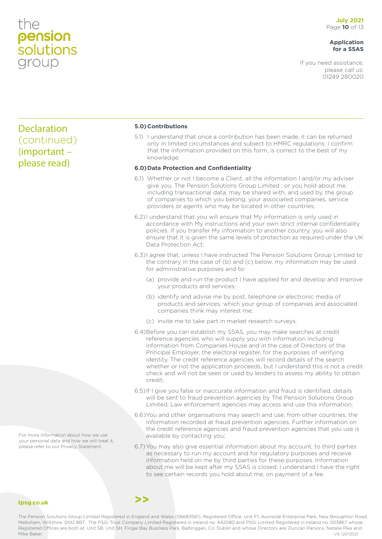#### **Application for a SSAS**

If you need assistance, please call us: 01249 280020

#### Declaration (continued) (important – please read)

#### **5.0)Contributions**

5.1) I understand that once a contribution has been made, it can be returned only in limited circumstances and subject to HMRC regulations. I confirm that the information provided on this form, is correct to the best of my knowledge.

#### **6.0)Data Protection and Confidentiality**

- 6.1) Whether or not I become a Client, all the information I and/or my adviser give you, The Pension Solutions Group Limited , or you hold about me, including transactional data, may be shared with, and used by, the group of companies to which you belong, your associated companies, service providers or agents who may be located in other countries;
- 6.2) I understand that you will ensure that My information is only used in accordance with My instructions and your own strict internal confidentiality policies. If you transfer My information to another country, you will also ensure that it is given the same levels of protection as required under the UK Data Protection Act;
- 6.3)I agree that, unless I have instructed The Pension Solutions Group Limited to the contrary in the case of (b) and (c) below, my information may be used for administrative purposes and to:
	- (a) provide and run the product I have applied for and develop and improve your products and services;
	- (b) identify and advise me by post, telephone or electronic media of products and services, which your group of companies and associated companies think may interest me;
	- (c) invite me to take part in market research surveys.
- 6.4)Before you can establish my SSAS, you may make searches at credit reference agencies who will supply you with information including information from Companies House and in the case of Directors of the Principal Employer, the electoral register, for the purposes of verifying identity. The credit reference agencies will record details of the search whether or not the application proceeds, but I understand this is not a credit check and will not be seen or used by lenders to assess my ability to obtain credit;
- 6.5)If I give you false or inaccurate information and fraud is identified, details will be sent to fraud prevention agencies by The Pension Solutions Group Limited. Law enforcement agencies may access and use this information;
- 6.6)You and other organisations may search and use, from other countries, the information recorded at fraud prevention agencies. Further information on the credit reference agencies and fraud prevention agencies that you use is available by contacting you;
- 6.7)You may also give essential information about my account, to third parties as necessary to run my account and for regulatory purposes and receive information held on me by third parties for these purposes. Information about me will be kept after my SSAS is closed. I understand I have the right to see certain records you hold about me, on payment of a fee.

For more information about how we use your personal data and how we will treat it, please refer to our Privacy Statement.

#### **tpsg.co.uk**

The Pension Solutions Group Limited Registered in England and Wales (06683561), Registered Office: Unit F1, Avonside Enterprise Park, New Broughton Road, Melksham, Wiltshire, SN12 8BT. The PSGi Trust Company Limited Registered in Ireland no. 442080 and PSGi Limited Registered in Ireland no. 503867 whose Registered Offices are both at: Unit 5B, Unit 5H, Fingal Bay Business Park, Balbriggan, Co. Dublin and whose Directors are: Duncan Parsons, Natalie Pike and Mike Baker. V9, 12072021

**>>**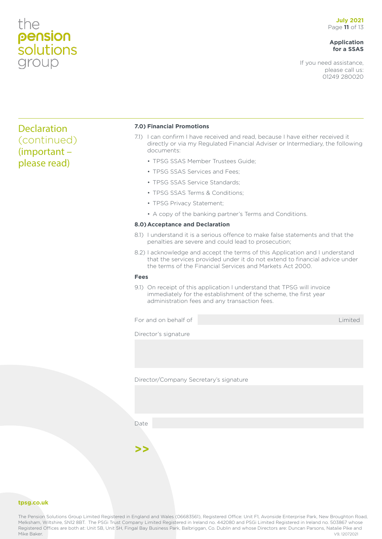#### **Application for a SSAS**

If you need assistance, please call us: 01249 280020

#### Declaration (continued) (important – please read)

#### **7.0) Financial Promotions**

- 7.1) I can confirm I have received and read, because I have either received it directly or via my Regulated Financial Adviser or Intermediary, the following documents:
	- TPSG SSAS Member Trustees Guide;
	- TPSG SSAS Services and Fees;
	- TPSG SSAS Service Standards;
	- TPSG SSAS Terms & Conditions:
	- TPSG Privacy Statement;
	- A copy of the banking partner's Terms and Conditions.

#### **8.0)Acceptance and Declaration**

- 8.1) I understand it is a serious offence to make false statements and that the penalties are severe and could lead to prosecution;
- 8.2) I acknowledge and accept the terms of this Application and I understand that the services provided under it do not extend to financial advice under the terms of the Financial Services and Markets Act 2000.

#### **Fees**

9.1) On receipt of this application I understand that TPSG will invoice immediately for the establishment of the scheme, the first year administration fees and any transaction fees.

For and on behalf of Limited Contact Contact Contact Contact Contact Contact Contact Contact Contact Contact Contact Contact Contact Contact Contact Contact Contact Contact Contact Contact Contact Contact Contact Contact C

Director's signature

Director/Company Secretary's signature

Date

**>>**

**tpsg.co.uk**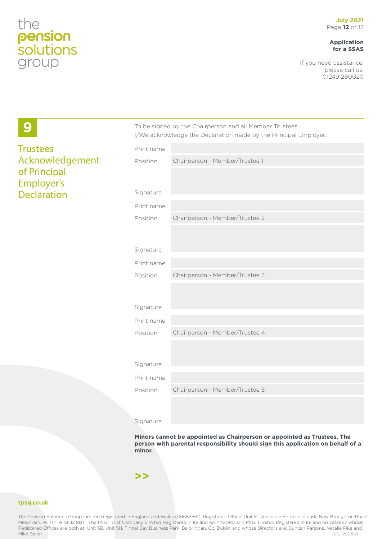**9**

**Trustees** 

of Principal Employer's Declaration

Acknowledgement

#### **Application for a SSAS**

If you need assistance, please call us: 01249 280020

|            | I/We acknowledge the Declaration made by the Principal Employer. |
|------------|------------------------------------------------------------------|
| Print name |                                                                  |
| Position   | Chairperson - Member/Trustee 1                                   |
|            |                                                                  |
|            |                                                                  |
| Signature  |                                                                  |
| Print name |                                                                  |
| Position   | Chairperson - Member/Trustee 2                                   |
|            |                                                                  |
|            |                                                                  |
| Signature  |                                                                  |
| Print name |                                                                  |
| Position   | Chairperson - Member/Trustee 3                                   |
|            |                                                                  |
| Signature  |                                                                  |
|            |                                                                  |
| Print name |                                                                  |
| Position   | Chairperson - Member/Trustee 4                                   |
|            |                                                                  |
| Signature  |                                                                  |
| Print name |                                                                  |
|            |                                                                  |
| Position   | Chairperson - Member/Trustee 5                                   |
|            |                                                                  |
| Signature  |                                                                  |

To be signed by the Chairperson and all Member Trustees.

**Minors cannot be appointed as Chairperson or appointed as Trustees. The person with parental responsibility should sign this application on behalf of a minor.**

**>>**

#### **tpsg.co.uk**